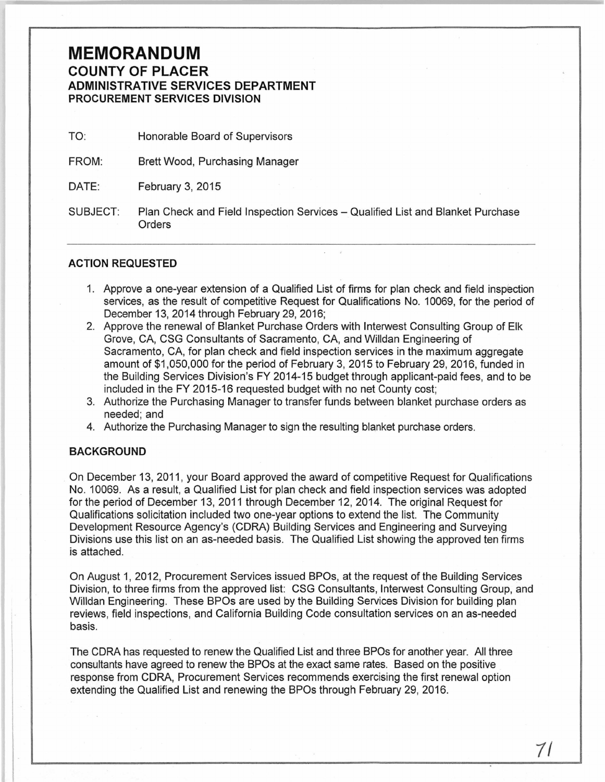# **MEMORANDUM COUNTY OF PLACER ADMINISTRATIVE SERVICES DEPARTMENT PROCUREMENT SERVICES DIVISION**

- TO: Honorable Board of Supervisors
- FROM: Brett Wood, Purchasing Manager
- DATE: February 3, 2015
- SUBJECT: Plan Check and Field Inspection Services- Qualified List and Blanket Purchase **Orders**

## **ACTION REQUESTED**

- 1. Approve a one-year extension of a Qualified List of firms for plan check and field inspection services, as the result of competitive Request for Qualifications No. 10069, for the period of December 13, 2014 through February 29, 2016;
- 2. Approve the renewal of Blanket Purchase Orders with lnterwest Consulting Group of Elk Grove, CA, CSG Consultants of Sacramento, CA, and Willdan Engineering of Sacramento, CA, for plan check and field inspection services in the maximum aggregate amount of \$1,050,000 for the period of February 3, 2015 to February 29, 2016, funded in the Building Services Division's FY 2014-15 budget through applicant-paid fees, and to be included in the FY 2015-16 requested budget with no net County cost;
- 3. Authorize the Purchasing Manager to transfer funds between blanket purchase orders as needed; and
- 4. Authorize the Purchasing Manager to sign the resulting blanket purchase orders.

## **BACKGROUND**

On December 13, 2011, your Board approved the award of competitive Request for Qualifications No. 10069. As a result, a Qualified List for plan check and field inspection services was adopted for the period of December 13, 2011 through December 12, 2014. The original Request for Qualifications solicitation included two one-year options to extend the list. The Community Development Resource Agency's (CORA) Building Services and Engineering and Surveying Divisions use this list on an as-needed basis. The Qualified List showing the approved ten firms is attached.

On August 1, 2012, Procurement Services issued BPOs, at the request of the Building Services Division, to three firms from the approved list: CSG Consultants, lnterwest Consulting Group, and Willdan Engineering. These BPOs are used by the Building Services Division for building plan reviews, field inspections, and California Building Code consultation services on an as-needed basis.

The CORA has requested to renew the Qualified List and three BPOs for another year. All three consultants have agreed to renew the BPOs at the exact same rates. Based on the positive response from CORA, Procurement Services recommends exercising the first renewal option extending the Qualified List and renewing the BPOs through February 29, 2016.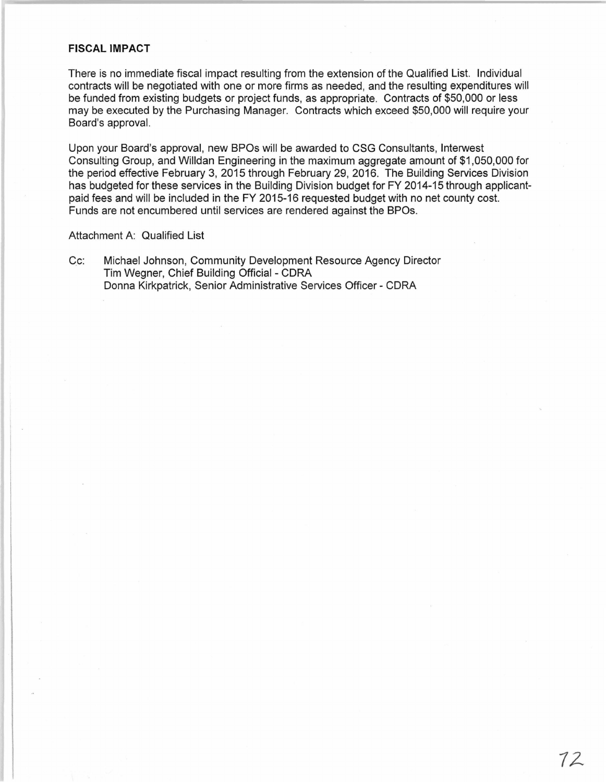#### **FISCAL IMPACT**

There is no immediate fiscal impact resulting from the extension of the Qualified List. Individual contracts will be negotiated with one or more firms as needed, and the resulting expenditures will be funded from existing budgets or project funds, as appropriate. Contracts of \$50,000 or less may be executed by the Purchasing Manager. Contracts which exceed \$50,000 will require your Board's approval.

Upon your Board's approval, new BPOs will be awarded to CSG Consultants, lnterwest Consulting Group, and Willdan Engineering in the maximum aggregate amount of \$1 ,050,000 for the period effective February 3, 2015 through February 29, 2016. The Building Services Division has budgeted for these services in the Building Division budget for FY 2014-15 through applicantpaid fees and will be included in the FY 2015-16 requested budget with no net county cost. Funds are not encumbered until services are rendered against the BPOs.

Attachment A: Qualified List

Cc: Michael Johnson, Community Development Resource Agency Director Tim Wegner, Chief Building Official - CORA Donna Kirkpatrick, Senior Administrative Services Officer- CORA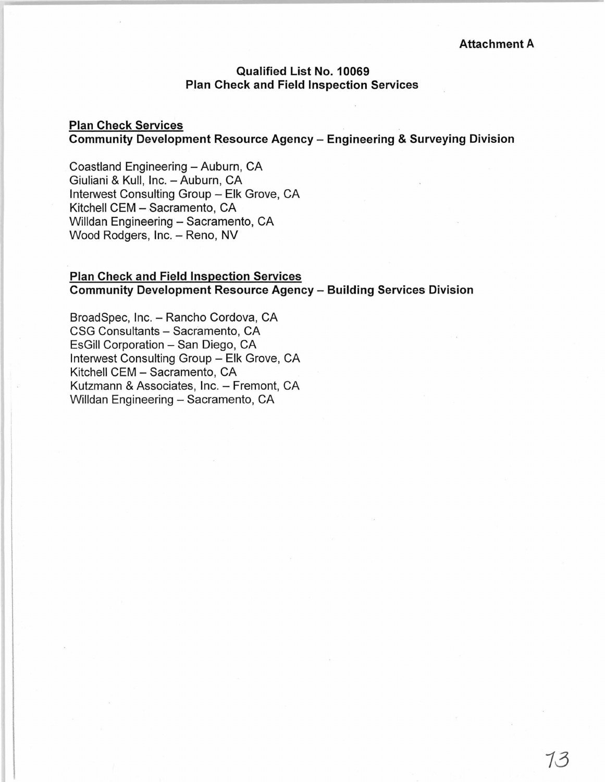# Qualified List No. 10069 Plan Check and Field Inspection Services

### Plan Check Services Community Development Resource Agency- Engineering & Surveying Division

Coastland Engineering - Auburn, CA Giuliani & Kull, Inc. - Auburn, CA Interwest Consulting Group - Elk Grove, CA Kitchell CEM - Sacramento, CA Willdan Engineering - Sacramento, CA Wood Rodgers, Inc. - Reno, NV

### Plan Check and Field Inspection Services Community Development Resource Agency- Building Services Division

BroadSpec, Inc. - Rancho Cordova, CA CSG Consultants - Sacramento, CA EsGill Corporation - San Diego, CA lnterwest Consulting Group- Elk Grove, CA Kitchell GEM- Sacramento, CA Kutzmann & Associates, Inc. - Fremont, CA Willdan Engineering - Sacramento, CA

13